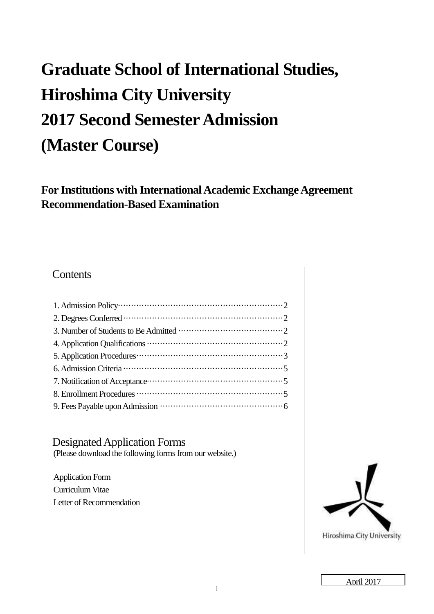# **Graduate School of International Studies, Hiroshima City University 2017 Second Semester Admission (Master Course)**

**For Institutions with International Academic Exchange Agreement Recommendation-Based Examination** 

# **Contents**

Designated Application Forms (Please download the following forms from our website.)

Application Form Curriculum Vitae Letter of Recommendation



Hiroshima City University

April 2017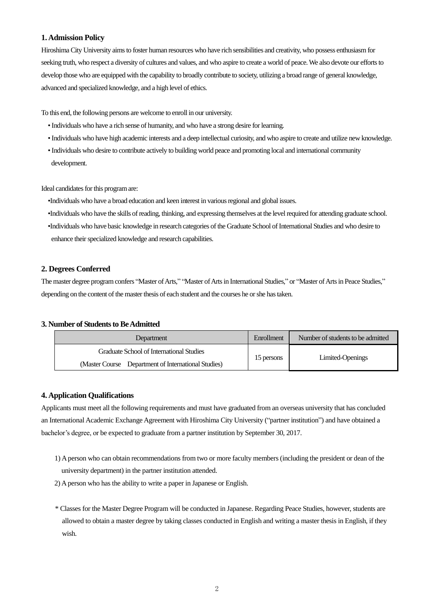## **1. Admission Policy**

Hiroshima City University aims to foster human resources who have rich sensibilities and creativity, who possess enthusiasm for seeking truth, who respect a diversity of cultures and values, and who aspire to create a world of peace. We also devote our efforts to develop those who are equipped with the capability to broadly contribute to society, utilizing a broad range of general knowledge, advanced and specialized knowledge, and a high level of ethics.

To this end, the following persons are welcome to enroll in our university.

- Individuals who have a rich sense of humanity, and who have a strong desire for learning.
- Individuals who have high academic interests and a deep intellectual curiosity, and who aspire to create and utilize new knowledge.
- Individuals who desire to contribute actively to building world peace and promoting local and international community development.

Ideal candidates for this program are:

- •Individuals who have a broad education and keen interest in various regional and global issues.
- •Individuals who have the skills of reading, thinking, and expressing themselves at the level required for attending graduate school.
- •Individuals who have basic knowledge in research categories of the Graduate School of International Studies and who desire to enhance their specialized knowledge and research capabilities.

### **2. Degrees Conferred**

The master degree program confers "Master of Arts," "Master of Arts in International Studies," or "Master of Arts in Peace Studies," depending on the content of the master thesis of each student and the courses he or she has taken.

## **3. Number of Students to Be Admitted**

| Department                                          | Enrollment | Number of students to be admitted |
|-----------------------------------------------------|------------|-----------------------------------|
| Graduate School of International Studies            |            |                                   |
| (Master Course Department of International Studies) | 15 persons | Limited-Openings                  |

## **4. Application Qualifications**

Applicants must meet all the following requirements and must have graduated from an overseas university that has concluded an International Academic Exchange Agreement with Hiroshima City University ("partner institution") and have obtained a bachelor's degree, or be expected to graduate from a partner institution by September 30, 2017.

- 1) A person who can obtain recommendations from two or more faculty members (including the president or dean of the university department) in the partner institution attended.
- 2) A person who has the ability to write a paper in Japanese or English.
- \* Classes for the Master Degree Program will be conducted in Japanese. Regarding Peace Studies, however, students are allowed to obtain a master degree by taking classes conducted in English and writing a master thesis in English, if they wish.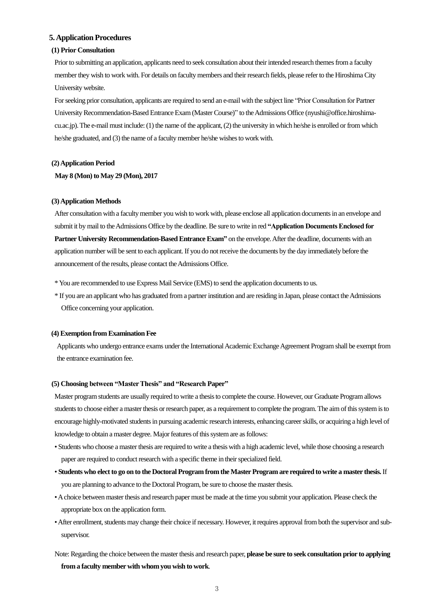#### **5. Application Procedures**

#### **(1) Prior Consultation**

Prior to submitting an application, applicants need to seek consultation about their intended research themes from a faculty member they wish to work with. For details on faculty members and their research fields, please refer to the Hiroshima City University website.

For seeking prior consultation, applicants are required to send an e-mail with the subject line "Prior Consultation for Partner University Recommendation-Based Entrance Exam (Master Course)" to the Admissions Office (nyushi@office.hiroshimacu.ac.jp). The e-mail must include: (1) the name of the applicant, (2) the university in which he/she is enrolled or from which he/she graduated, and (3) the name of a faculty member he/she wishes to work with.

#### **(2) Application Period**

**May 8 (Mon) to May 29 (Mon), 2017** 

#### **(3) Application Methods**

After consultation with a faculty member you wish to work with, please enclose all application documents in an envelope and submit it by mail to the Admissions Office by the deadline. Be sure to write in red **"Application Documents Enclosed for Partner University Recommendation-Based Entrance Exam"** on the envelope. After the deadline, documents with an application number will be sent to each applicant. If you do not receive the documents by the day immediately before the announcement of the results, please contact the Admissions Office.

- \* You are recommended to use Express Mail Service (EMS) to send the application documents to us.
- \* If you are an applicant who has graduated from a partner institution and are residing in Japan, please contact the Admissions Office concerning your application.

#### **(4) Exemption from Examination Fee**

Applicants who undergo entrance exams under the International Academic Exchange Agreement Program shall be exempt from the entrance examination fee.

#### **(5) Choosing between "Master Thesis" and "Research Paper"**

Master program students are usually required to write a thesis to complete the course. However, our Graduate Program allows students to choose either a master thesis or research paper, as a requirement to complete the program. The aim of this system is to encourage highly-motivated students in pursuing academic research interests, enhancing career skills, or acquiring a high level of knowledge to obtain a master degree. Major features of this system are as follows:

- Students who choose a master thesis are required to write a thesis with a high academic level, while those choosing a research paper are required to conduct research with a specific theme in their specialized field.
- **Students who elect to go on to the Doctoral Program from the Master Program are required to write a master thesis.** If you are planning to advance to the Doctoral Program, be sure to choose the master thesis.
- A choice between master thesis and research paper must be made at the time you submit your application. Please check the appropriate box on the application form.
- After enrollment, students may change their choice if necessary. However, it requires approval from both the supervisor and subsupervisor.
- Note: Regarding the choice between the master thesis and research paper, **please be sure to seek consultation prior to applying from a faculty member with whom you wish to work**.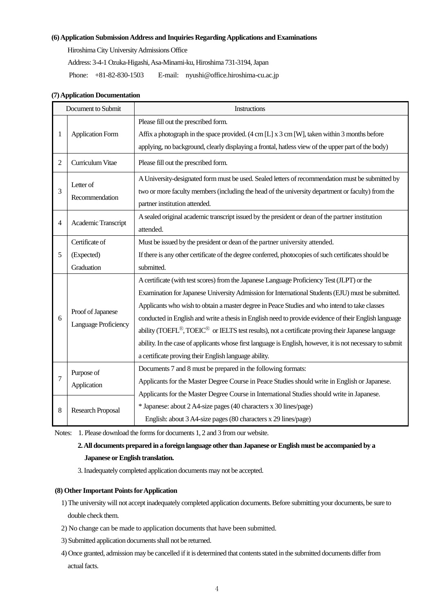### **(6) Application Submission Address and Inquiries Regarding Applications and Examinations**

Hiroshima City University Admissions Office

Address: 3-4-1 Ozuka-Higashi, Asa-Minami-ku, Hiroshima 731-3194, Japan

Phone: +81-82-830-1503 E-mail: nyushi@office.hiroshima-cu.ac.jp

| Document to Submit |                                                                                                                                                                                                                                                                       | Instructions                                                                                                                                                                                                                                                                                                                                                                                                                                                                                                                                                                                                                                                                          |  |  |  |
|--------------------|-----------------------------------------------------------------------------------------------------------------------------------------------------------------------------------------------------------------------------------------------------------------------|---------------------------------------------------------------------------------------------------------------------------------------------------------------------------------------------------------------------------------------------------------------------------------------------------------------------------------------------------------------------------------------------------------------------------------------------------------------------------------------------------------------------------------------------------------------------------------------------------------------------------------------------------------------------------------------|--|--|--|
| 1                  | <b>Application Form</b>                                                                                                                                                                                                                                               | Please fill out the prescribed form.<br>Affix a photograph in the space provided. $(4 \text{ cm } L) \times 3 \text{ cm } W$ , taken within 3 months before<br>applying, no background, clearly displaying a frontal, hatless view of the upper part of the body)                                                                                                                                                                                                                                                                                                                                                                                                                     |  |  |  |
| $\overline{c}$     | Curriculum Vitae                                                                                                                                                                                                                                                      | Please fill out the prescribed form.                                                                                                                                                                                                                                                                                                                                                                                                                                                                                                                                                                                                                                                  |  |  |  |
| 3                  | A University-designated form must be used. Sealed letters of recommendation must be submitted by<br>Letter of<br>two or more faculty members (including the head of the university department or faculty) from the<br>Recommendation<br>partner institution attended. |                                                                                                                                                                                                                                                                                                                                                                                                                                                                                                                                                                                                                                                                                       |  |  |  |
| $\overline{4}$     | A sealed original academic transcript issued by the president or dean of the partner institution<br>Academic Transcript<br>attended.                                                                                                                                  |                                                                                                                                                                                                                                                                                                                                                                                                                                                                                                                                                                                                                                                                                       |  |  |  |
|                    | Certificate of                                                                                                                                                                                                                                                        | Must be issued by the president or dean of the partner university attended.                                                                                                                                                                                                                                                                                                                                                                                                                                                                                                                                                                                                           |  |  |  |
| 5                  | (Expected)                                                                                                                                                                                                                                                            | If there is any other certificate of the degree conferred, photocopies of such certificates should be                                                                                                                                                                                                                                                                                                                                                                                                                                                                                                                                                                                 |  |  |  |
|                    | Graduation                                                                                                                                                                                                                                                            | submitted.                                                                                                                                                                                                                                                                                                                                                                                                                                                                                                                                                                                                                                                                            |  |  |  |
| 6                  | Proof of Japanese<br>Language Proficiency                                                                                                                                                                                                                             | A certificate (with test scores) from the Japanese Language Proficiency Test (JLPT) or the<br>Examination for Japanese University Admission for International Students (EJU) must be submitted.<br>Applicants who wish to obtain a master degree in Peace Studies and who intend to take classes<br>conducted in English and write a thesis in English need to provide evidence of their English language<br>ability (TOEFL®, TOEIC® or IELTS test results), not a certificate proving their Japanese language<br>ability. In the case of applicants whose first language is English, however, it is not necessary to submit<br>a certificate proving their English language ability. |  |  |  |
| 7                  | Purpose of<br>Application                                                                                                                                                                                                                                             | Documents 7 and 8 must be prepared in the following formats:<br>Applicants for the Master Degree Course in Peace Studies should write in English or Japanese.<br>Applicants for the Master Degree Course in International Studies should write in Japanese.                                                                                                                                                                                                                                                                                                                                                                                                                           |  |  |  |
| 8                  | <b>Research Proposal</b>                                                                                                                                                                                                                                              | * Japanese: about 2 A4-size pages (40 characters x 30 lines/page)<br>English: about 3 A4-size pages (80 characters x 29 lines/page)                                                                                                                                                                                                                                                                                                                                                                                                                                                                                                                                                   |  |  |  |

## **(7) Application Documentation**

Notes: 1. Please download the forms for documents 1, 2 and 3 from our website.

## **2. All documents prepared in a foreign language other than Japanese or English must be accompanied by a Japanese or English translation.**

3. Inadequately completed application documents may not be accepted.

## **(8) Other Important Points for Application**

- 1) The university will not accept inadequately completed application documents. Before submitting your documents, be sure to double check them.
- 2) No change can be made to application documents that have been submitted.
- 3) Submitted application documents shall not be returned.
- 4) Once granted, admission may be cancelled if it is determined that contents stated in the submitted documents differ from actual facts.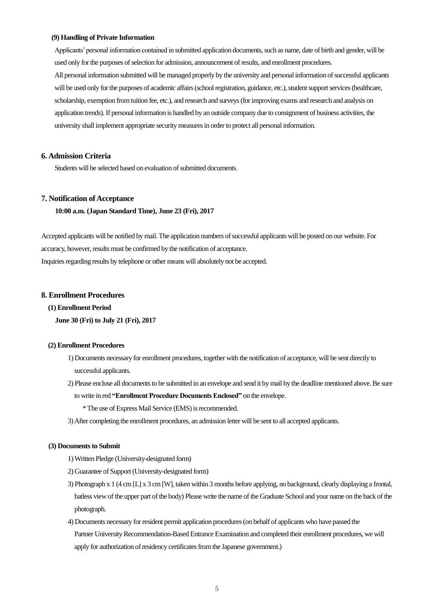#### **(9) Handling of Private Information**

Applicants' personal information contained in submitted application documents, such as name, date of birth and gender, will be used only for the purposes of selection for admission, announcement of results, and enrollment procedures. All personal information submitted will be managed properly by the university and personal information of successful applicants will be used only for the purposes of academic affairs (school registration, guidance, etc.), student support services (healthcare, scholarship, exemption from tuition fee, etc.), and research and surveys (for improving exams and research and analysis on application trends). If personal information is handled by an outside company due to consignment of business activities, the university shall implement appropriate security measures in order to protect all personal information.

## **6. Admission Criteria**

Students will be selected based on evaluation of submitted documents.

#### **7. Notification of Acceptance**

**10:00 a.m. (Japan Standard Time), June 23 (Fri), 2017** 

Accepted applicants will be notified by mail. The application numbers of successful applicants will be posted on our website. For accuracy, however, results must be confirmed by the notification of acceptance. Inquiries regarding results by telephone or other means will absolutely not be accepted.

## **8. Enrollment Procedures**

## **(1) Enrollment Period**

**June 30 (Fri) to July 21 (Fri), 2017** 

#### **(2) Enrollment Procedures**

- 1) Documents necessary for enrollment procedures, together with the notification of acceptance, will be sent directly to successful applicants.
- 2) Please enclose all documents to be submitted in an envelope and send it by mail by the deadline mentioned above. Be sure
	- to write in red **"Enrollment Procedure Documents Enclosed"** on the envelope.
		- \* The use of Express Mail Service (EMS) is recommended.
- 3) After completing the enrollment procedures, an admission letter will be sent to all accepted applicants.

#### **(3) Documents to Submit**

- 1) Written Pledge (University-designated form)
- 2) Guarantee of Support (University-designated form)
- 3) Photograph x 1 (4 cm [L] x 3 cm [W], taken within 3 months before applying, no background, clearly displaying a frontal, hatless view of the upper part of the body) Please write the name of the Graduate School and your name on the back of the photograph.
- 4) Documents necessary for resident permit application procedures (on behalf of applicants who have passed the Partner University Recommendation-Based Entrance Examination and completed their enrollment procedures, we will apply for authorization of residency certificates from the Japanese government.)